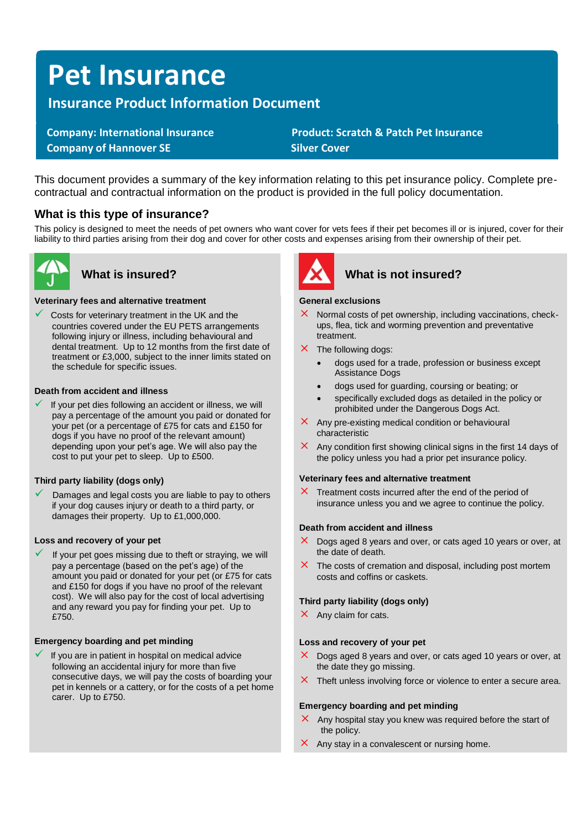# **Pet Insurance**

# **Insurance Product Information Document**

**Company of Hannover SE** Silver Cover

 **Company: International Insurance Product: Scratch & Patch Pet Insurance** 

This document provides a summary of the key information relating to this pet insurance policy. Complete precontractual and contractual information on the product is provided in the full policy documentation.

## **What is this type of insurance?**

This policy is designed to meet the needs of pet owners who want cover for vets fees if their pet becomes ill or is injured, cover for their liability to third parties arising from their dog and cover for other costs and expenses arising from their ownership of their pet.



#### **Veterinary fees and alternative treatment**

Costs for veterinary treatment in the UK and the countries covered under the EU PETS arrangements following injury or illness, including behavioural and dental treatment. Up to 12 months from the first date of treatment or £3,000, subject to the inner limits stated on the schedule for specific issues.

#### **Death from accident and illness**

If your pet dies following an accident or illness, we will pay a percentage of the amount you paid or donated for your pet (or a percentage of £75 for cats and £150 for dogs if you have no proof of the relevant amount) depending upon your pet's age. We will also pay the cost to put your pet to sleep. Up to £500.

#### **Third party liability (dogs only)**

Damages and legal costs you are liable to pay to others if your dog causes injury or death to a third party, or damages their property. Up to £1,000,000.

#### **Loss and recovery of your pet**

If your pet goes missing due to theft or straying, we will pay a percentage (based on the pet's age) of the amount you paid or donated for your pet (or £75 for cats and £150 for dogs if you have no proof of the relevant cost). We will also pay for the cost of local advertising and any reward you pay for finding your pet. Up to £750

#### **Emergency boarding and pet minding**

If you are in patient in hospital on medical advice following an accidental injury for more than five consecutive days, we will pay the costs of boarding your pet in kennels or a cattery, or for the costs of a pet home carer. Up to £750.



# **What is insured? What is not insured?**

#### **General exclusions**

- $\times$  Normal costs of pet ownership, including vaccinations, checkups, flea, tick and worming prevention and preventative treatment.
- $\times$  The following dogs:
	- dogs used for a trade, profession or business except Assistance Dogs
	- dogs used for guarding, coursing or beating; or
	- specifically excluded dogs as detailed in the policy or prohibited under the Dangerous Dogs Act.
- $\times$  Any pre-existing medical condition or behavioural characteristic
- $\times$  Any condition first showing clinical signs in the first 14 days of the policy unless you had a prior pet insurance policy.

#### **Veterinary fees and alternative treatment**

 $\times$  Treatment costs incurred after the end of the period of insurance unless you and we agree to continue the policy.

#### **Death from accident and illness**

- $\times$  Dogs aged 8 years and over, or cats aged 10 years or over, at the date of death.
- $\times$  The costs of cremation and disposal, including post mortem costs and coffins or caskets.

#### **Third party liability (dogs only)**

 $\times$  Any claim for cats.

#### **Loss and recovery of your pet**

- $\times$  Dogs aged 8 years and over, or cats aged 10 years or over, at the date they go missing.
- $\times$  Theft unless involving force or violence to enter a secure area.

#### **Emergency boarding and pet minding**

- $\times$  Any hospital stay you knew was required before the start of the policy.
- $\times$  Any stay in a convalescent or nursing home.